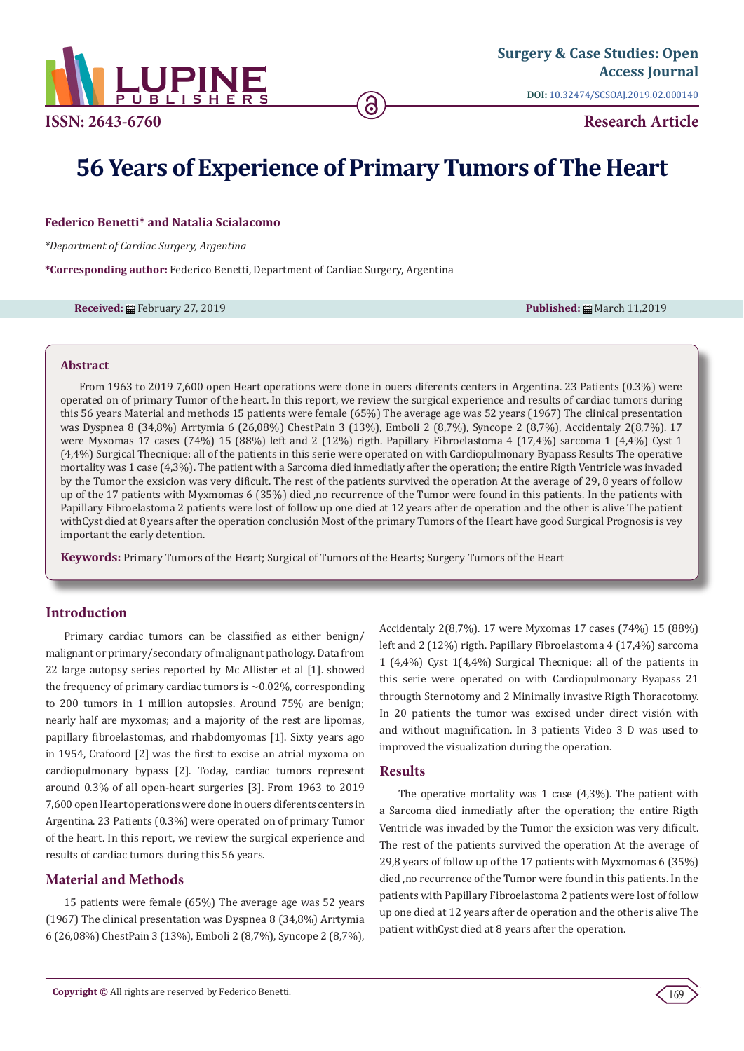

**DOI:** [10.32474/SCSOAJ.2019.02.0001](http://dx.doi.org/10.32474/SCSOAJ.2019.02.000140)40

**Research Article**

# **56 Years of Experience of Primary Tumors of The Heart**

# **Federico Benetti\* and Natalia Scialacomo**

*\*Department of Cardiac Surgery, Argentina*

**\*Corresponding author:** Federico Benetti, Department of Cardiac Surgery, Argentina

**Received: 曲 February 27, 2019 Published: 曲 March 11,2019 Published: 曲 March 11,2019** 

#### **Abstract**

From 1963 to 2019 7,600 open Heart operations were done in ouers diferents centers in Argentina. 23 Patients (0.3%) were operated on of primary Tumor of the heart. In this report, we review the surgical experience and results of cardiac tumors during this 56 years Material and methods 15 patients were female (65%) The average age was 52 years (1967) The clinical presentation was Dyspnea 8 (34,8%) Arrtymia 6 (26,08%) ChestPain 3 (13%), Emboli 2 (8,7%), Syncope 2 (8,7%), Accidentaly 2(8,7%). 17 were Myxomas 17 cases (74%) 15 (88%) left and 2 (12%) rigth. Papillary Fibroelastoma 4 (17,4%) sarcoma 1 (4,4%) Cyst 1 (4,4%) Surgical Thecnique: all of the patients in this serie were operated on with Cardiopulmonary Byapass Results The operative mortality was 1 case (4,3%). The patient with a Sarcoma died inmediatly after the operation; the entire Rigth Ventricle was invaded by the Tumor the exsicion was very dificult. The rest of the patients survived the operation At the average of 29, 8 years of follow up of the 17 patients with Myxmomas 6 (35%) died ,no recurrence of the Tumor were found in this patients. In the patients with Papillary Fibroelastoma 2 patients were lost of follow up one died at 12 years after de operation and the other is alive The patient withCyst died at 8 years after the operation conclusión Most of the primary Tumors of the Heart have good Surgical Prognosis is vey important the early detention.

**Keywords:** Primary Tumors of the Heart; Surgical of Tumors of the Hearts; Surgery Tumors of the Heart

# **Introduction**

Primary cardiac tumors can be classified as either benign/ malignant or primary/secondary of malignant pathology. Data from 22 large autopsy series reported by Mc Allister et al [1]. showed the frequency of primary cardiac tumors is ∼0.02%, corresponding to 200 tumors in 1 million autopsies. Around 75% are benign; nearly half are myxomas; and a majority of the rest are lipomas, papillary fibroelastomas, and rhabdomyomas [1]. Sixty years ago in 1954, Crafoord [2] was the first to excise an atrial myxoma on cardiopulmonary bypass [2]. Today, cardiac tumors represent around 0.3% of all open-heart surgeries [3]. From 1963 to 2019 7,600 open Heart operations were done in ouers diferents centers in Argentina. 23 Patients (0.3%) were operated on of primary Tumor of the heart. In this report, we review the surgical experience and results of cardiac tumors during this 56 years.

# **Material and Methods**

15 patients were female (65%) The average age was 52 years (1967) The clinical presentation was Dyspnea 8 (34,8%) Arrtymia 6 (26,08%) ChestPain 3 (13%), Emboli 2 (8,7%), Syncope 2 (8,7%), Accidentaly 2(8,7%). 17 were Myxomas 17 cases (74%) 15 (88%) left and 2 (12%) rigth. Papillary Fibroelastoma 4 (17,4%) sarcoma 1 (4,4%) Cyst 1(4,4%) Surgical Thecnique: all of the patients in this serie were operated on with Cardiopulmonary Byapass 21 througth Sternotomy and 2 Minimally invasive Rigth Thoracotomy. In 20 patients the tumor was excised under direct visión with and without magnification. In 3 patients Video 3 D was used to improved the visualization during the operation.

# **Results**

The operative mortality was 1 case (4,3%). The patient with a Sarcoma died inmediatly after the operation; the entire Rigth Ventricle was invaded by the Tumor the exsicion was very dificult. The rest of the patients survived the operation At the average of 29,8 years of follow up of the 17 patients with Myxmomas 6 (35%) died ,no recurrence of the Tumor were found in this patients. In the patients with Papillary Fibroelastoma 2 patients were lost of follow up one died at 12 years after de operation and the other is alive The patient withCyst died at 8 years after the operation.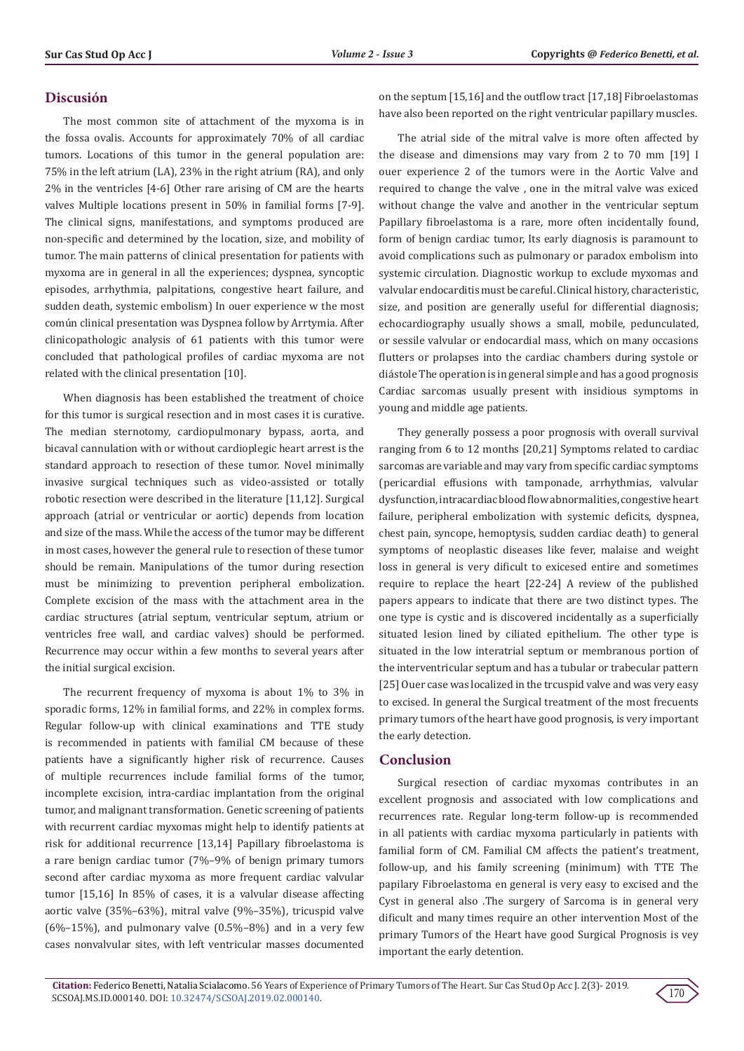#### **Discusión**

The most common site of attachment of the myxoma is in the fossa ovalis. Accounts for approximately 70% of all cardiac tumors. Locations of this tumor in the general population are: 75% in the left atrium (LA), 23% in the right atrium (RA), and only 2% in the ventricles [4-6] Other rare arising of CM are the hearts valves Multiple locations present in 50% in familial forms [7-9]. The clinical signs, manifestations, and symptoms produced are non-specific and determined by the location, size, and mobility of tumor. The main patterns of clinical presentation for patients with myxoma are in general in all the experiences; dyspnea, syncoptic episodes, arrhythmia, palpitations, congestive heart failure, and sudden death, systemic embolism) In ouer experience w the most común clinical presentation was Dyspnea follow by Arrtymia. After clinicopathologic analysis of 61 patients with this tumor were concluded that pathological profiles of cardiac myxoma are not related with the clinical presentation [10].

When diagnosis has been established the treatment of choice for this tumor is surgical resection and in most cases it is curative. The median sternotomy, cardiopulmonary bypass, aorta, and bicaval cannulation with or without cardioplegic heart arrest is the standard approach to resection of these tumor. Novel minimally invasive surgical techniques such as video-assisted or totally robotic resection were described in the literature [11,12]. Surgical approach (atrial or ventricular or aortic) depends from location and size of the mass. While the access of the tumor may be different in most cases, however the general rule to resection of these tumor should be remain. Manipulations of the tumor during resection must be minimizing to prevention peripheral embolization. Complete excision of the mass with the attachment area in the cardiac structures (atrial septum, ventricular septum, atrium or ventricles free wall, and cardiac valves) should be performed. Recurrence may occur within a few months to several years after the initial surgical excision.

The recurrent frequency of myxoma is about 1% to 3% in sporadic forms, 12% in familial forms, and 22% in complex forms. Regular follow-up with clinical examinations and TTE study is recommended in patients with familial CM because of these patients have a significantly higher risk of recurrence. Causes of multiple recurrences include familial forms of the tumor, incomplete excision, intra-cardiac implantation from the original tumor, and malignant transformation. Genetic screening of patients with recurrent cardiac myxomas might help to identify patients at risk for additional recurrence [13,14] Papillary fibroelastoma is a rare benign cardiac tumor (7%–9% of benign primary tumors second after cardiac myxoma as more frequent cardiac valvular tumor [15,16] In 85% of cases, it is a valvular disease affecting aortic valve (35%–63%), mitral valve (9%–35%), tricuspid valve (6%–15%), and pulmonary valve  $(0.5\text{\%}-8\text{\%})$  and in a very few cases nonvalvular sites, with left ventricular masses documented

on the septum [15,16] and the outflow tract [17,18] Fibroelastomas have also been reported on the right ventricular papillary muscles.

The atrial side of the mitral valve is more often affected by the disease and dimensions may vary from 2 to 70 mm [19] I ouer experience 2 of the tumors were in the Aortic Valve and required to change the valve , one in the mitral valve was exiced without change the valve and another in the ventricular septum Papillary fibroelastoma is a rare, more often incidentally found, form of benign cardiac tumor, Its early diagnosis is paramount to avoid complications such as pulmonary or paradox embolism into systemic circulation. Diagnostic workup to exclude myxomas and valvular endocarditis must be careful. Clinical history, characteristic, size, and position are generally useful for differential diagnosis; echocardiography usually shows a small, mobile, pedunculated, or sessile valvular or endocardial mass, which on many occasions flutters or prolapses into the cardiac chambers during systole or diástole The operation is in general simple and has a good prognosis Cardiac sarcomas usually present with insidious symptoms in young and middle age patients.

They generally possess a poor prognosis with overall survival ranging from 6 to 12 months [20,21] Symptoms related to cardiac sarcomas are variable and may vary from specific cardiac symptoms (pericardial effusions with tamponade, arrhythmias, valvular dysfunction, intracardiac blood flow abnormalities, congestive heart failure, peripheral embolization with systemic deficits, dyspnea, chest pain, syncope, hemoptysis, sudden cardiac death) to general symptoms of neoplastic diseases like fever, malaise and weight loss in general is very dificult to exicesed entire and sometimes require to replace the heart [22-24] A review of the published papers appears to indicate that there are two distinct types. The one type is cystic and is discovered incidentally as a superficially situated lesion lined by ciliated epithelium. The other type is situated in the low interatrial septum or membranous portion of the interventricular septum and has a tubular or trabecular pattern [25] Ouer case was localized in the trcuspid valve and was very easy to excised. In general the Surgical treatment of the most frecuents primary tumors of the heart have good prognosis, is very important the early detection.

# **Conclusion**

Surgical resection of cardiac myxomas contributes in an excellent prognosis and associated with low complications and recurrences rate. Regular long-term follow-up is recommended in all patients with cardiac myxoma particularly in patients with familial form of CM. Familial CM affects the patient's treatment, follow-up, and his family screening (minimum) with TTE The papilary Fibroelastoma en general is very easy to excised and the Cyst in general also .The surgery of Sarcoma is in general very dificult and many times require an other intervention Most of the primary Tumors of the Heart have good Surgical Prognosis is vey important the early detention.